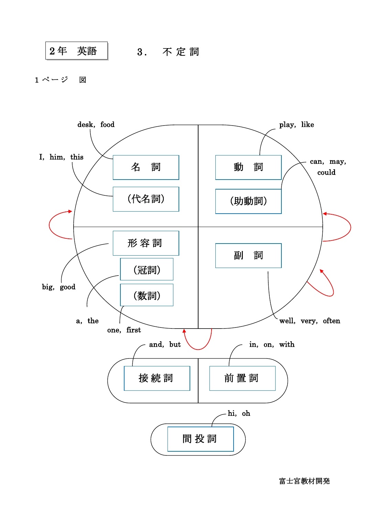$$
\begin{array}{|c|c|c|c|c|}\hline 2\]{\rm ff} & $\stackrel{\scriptstyle \text{}}{ \mathfrak{R}}$ & $\hspace{0.2cm} \text{ 3.} \quad \text{ 7 k B} \\\hline \end{array}
$$

1 ページ 図



富士宮教材開発